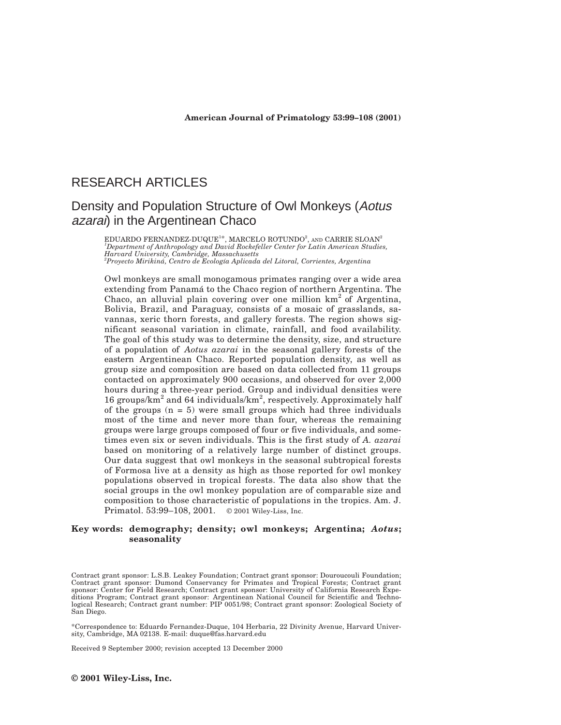# RESEARCH ARTICLES

# Density and Population Structure of Owl Monkeys (Aotus azarai) in the Argentinean Chaco

 ${\rm EDUARDO}$  FERNANDEZ-DUQUE $^{1*}$ , MARCELO ROTUNDO $^2$ , and CARRIE SLOAN $^2$ *1 Department of Anthropology and David Rockefeller Center for Latin American Studies, Harvard University, Cambridge, Massachusetts 2 Proyecto Mirikiná, Centro de Ecología Aplicada del Litoral, Corrientes, Argentina*

Owl monkeys are small monogamous primates ranging over a wide area extending from Panamá to the Chaco region of northern Argentina. The Chaco, an alluvial plain covering over one million  $km^2$  of Argentina, Bolivia, Brazil, and Paraguay, consists of a mosaic of grasslands, savannas, xeric thorn forests, and gallery forests. The region shows significant seasonal variation in climate, rainfall, and food availability. The goal of this study was to determine the density, size, and structure of a population of *Aotus azarai* in the seasonal gallery forests of the eastern Argentinean Chaco. Reported population density, as well as group size and composition are based on data collected from 11 groups contacted on approximately 900 occasions, and observed for over 2,000 hours during a three-year period. Group and individual densities were 16 groups/km<sup>2</sup> and 64 individuals/km<sup>2</sup>, respectively. Approximately half of the groups  $(n = 5)$  were small groups which had three individuals most of the time and never more than four, whereas the remaining groups were large groups composed of four or five individuals, and sometimes even six or seven individuals. This is the first study of *A. azarai* based on monitoring of a relatively large number of distinct groups. Our data suggest that owl monkeys in the seasonal subtropical forests of Formosa live at a density as high as those reported for owl monkey populations observed in tropical forests. The data also show that the social groups in the owl monkey population are of comparable size and composition to those characteristic of populations in the tropics. Am. J. Primatol. 53:99–108, 2001. © 2001 Wiley-Liss, Inc.

# **Key words: demography; density; owl monkeys; Argentina;** *Aotus***; seasonality**

Contract grant sponsor: L.S.B. Leakey Foundation; Contract grant sponsor: Douroucouli Foundation; Contract grant sponsor: Dumond Conservancy for Primates and Tropical Forests; Contract grant sponsor: Center for Field Research; Contract grant sponsor: University of California Research Expeditions Program; Contract grant sponsor: Argentinean National Council for Scientific and Technological Research; Contract grant number: PIP 0051/98; Contract grant sponsor: Zoological Society of San Diego.

\*Correspondence to: Eduardo Fernandez-Duque, 104 Herbaria, 22 Divinity Avenue, Harvard University, Cambridge, MA 02138. E-mail: duque@fas.harvard.edu

Received 9 September 2000; revision accepted 13 December 2000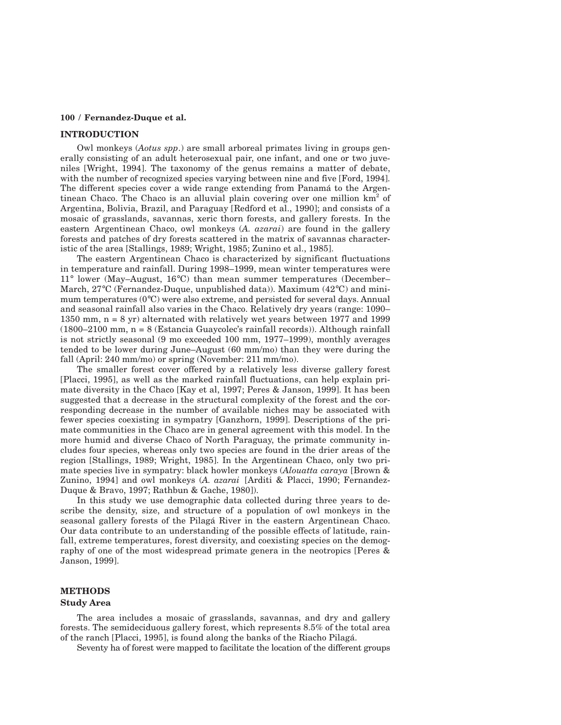# **INTRODUCTION**

Owl monkeys (*Aotus spp*.) are small arboreal primates living in groups generally consisting of an adult heterosexual pair, one infant, and one or two juveniles [Wright, 1994]. The taxonomy of the genus remains a matter of debate, with the number of recognized species varying between nine and five [Ford, 1994]. The different species cover a wide range extending from Panamá to the Argentinean Chaco. The Chaco is an alluvial plain covering over one million  $km^2$  of Argentina, Bolivia, Brazil, and Paraguay [Redford et al., 1990]; and consists of a mosaic of grasslands, savannas, xeric thorn forests, and gallery forests. In the eastern Argentinean Chaco, owl monkeys (*A. azarai*) are found in the gallery forests and patches of dry forests scattered in the matrix of savannas characteristic of the area [Stallings, 1989; Wright, 1985; Zunino et al., 1985].

The eastern Argentinean Chaco is characterized by significant fluctuations in temperature and rainfall. During 1998–1999, mean winter temperatures were 11° lower (May–August, 16°C) than mean summer temperatures (December– March, 27°C (Fernandez-Duque, unpublished data)). Maximum (42°C) and minimum temperatures (0°C) were also extreme, and persisted for several days. Annual and seasonal rainfall also varies in the Chaco. Relatively dry years (range: 1090– 1350 mm, n = 8 yr) alternated with relatively wet years between 1977 and 1999 (1800–2100 mm, n = 8 (Estancia Guaycolec's rainfall records)). Although rainfall is not strictly seasonal (9 mo exceeded 100 mm, 1977–1999), monthly averages tended to be lower during June–August (60 mm/mo) than they were during the fall (April: 240 mm/mo) or spring (November: 211 mm/mo).

The smaller forest cover offered by a relatively less diverse gallery forest [Placci, 1995], as well as the marked rainfall fluctuations, can help explain primate diversity in the Chaco [Kay et al, 1997; Peres & Janson, 1999]. It has been suggested that a decrease in the structural complexity of the forest and the corresponding decrease in the number of available niches may be associated with fewer species coexisting in sympatry [Ganzhorn, 1999]. Descriptions of the primate communities in the Chaco are in general agreement with this model. In the more humid and diverse Chaco of North Paraguay, the primate community includes four species, whereas only two species are found in the drier areas of the region [Stallings, 1989; Wright, 1985]. In the Argentinean Chaco, only two primate species live in sympatry: black howler monkeys (*Alouatta caraya* [Brown & Zunino, 1994] and owl monkeys (*A. azarai* [Arditi & Placci, 1990; Fernandez-Duque & Bravo, 1997; Rathbun & Gache, 1980]).

In this study we use demographic data collected during three years to describe the density, size, and structure of a population of owl monkeys in the seasonal gallery forests of the Pilagá River in the eastern Argentinean Chaco. Our data contribute to an understanding of the possible effects of latitude, rainfall, extreme temperatures, forest diversity, and coexisting species on the demography of one of the most widespread primate genera in the neotropics [Peres & Janson, 1999].

# **METHODS**

# **Study Area**

The area includes a mosaic of grasslands, savannas, and dry and gallery forests. The semideciduous gallery forest, which represents 8.5% of the total area of the ranch [Placci, 1995], is found along the banks of the Riacho Pilagá.

Seventy ha of forest were mapped to facilitate the location of the different groups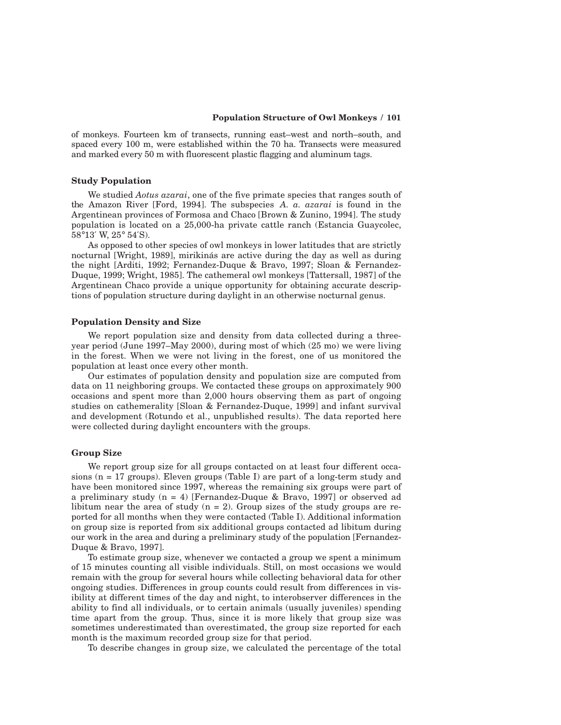of monkeys. Fourteen km of transects, running east–west and north–south, and spaced every 100 m, were established within the 70 ha. Transects were measured and marked every 50 m with fluorescent plastic flagging and aluminum tags.

# **Study Population**

We studied *Aotus azarai*, one of the five primate species that ranges south of the Amazon River [Ford, 1994]. The subspecies *A. a. azarai* is found in the Argentinean provinces of Formosa and Chaco [Brown & Zunino, 1994]. The study population is located on a 25,000-ha private cattle ranch (Estancia Guaycolec,  $58^{\circ}13'$  W,  $25^{\circ}$   $54'\mathrm{S}$  ).

As opposed to other species of owl monkeys in lower latitudes that are strictly nocturnal [Wright, 1989], mirikinás are active during the day as well as during the night [Arditi, 1992; Fernandez-Duque & Bravo, 1997; Sloan & Fernandez-Duque, 1999; Wright, 1985]. The cathemeral owl monkeys [Tattersall, 1987] of the Argentinean Chaco provide a unique opportunity for obtaining accurate descriptions of population structure during daylight in an otherwise nocturnal genus.

# **Population Density and Size**

We report population size and density from data collected during a threeyear period (June 1997–May 2000), during most of which (25 mo) we were living in the forest. When we were not living in the forest, one of us monitored the population at least once every other month.

Our estimates of population density and population size are computed from data on 11 neighboring groups. We contacted these groups on approximately 900 occasions and spent more than 2,000 hours observing them as part of ongoing studies on cathemerality [Sloan & Fernandez-Duque, 1999] and infant survival and development (Rotundo et al., unpublished results). The data reported here were collected during daylight encounters with the groups.

## **Group Size**

We report group size for all groups contacted on at least four different occasions ( $n = 17$  groups). Eleven groups (Table I) are part of a long-term study and have been monitored since 1997, whereas the remaining six groups were part of a preliminary study ( $n = 4$ ) [Fernandez-Duque & Bravo, 1997] or observed ad libitum near the area of study  $(n = 2)$ . Group sizes of the study groups are reported for all months when they were contacted (Table I). Additional information on group size is reported from six additional groups contacted ad libitum during our work in the area and during a preliminary study of the population [Fernandez-Duque & Bravo, 1997].

To estimate group size, whenever we contacted a group we spent a minimum of 15 minutes counting all visible individuals. Still, on most occasions we would remain with the group for several hours while collecting behavioral data for other ongoing studies. Differences in group counts could result from differences in visibility at different times of the day and night, to interobserver differences in the ability to find all individuals, or to certain animals (usually juveniles) spending time apart from the group. Thus, since it is more likely that group size was sometimes underestimated than overestimated, the group size reported for each month is the maximum recorded group size for that period.

To describe changes in group size, we calculated the percentage of the total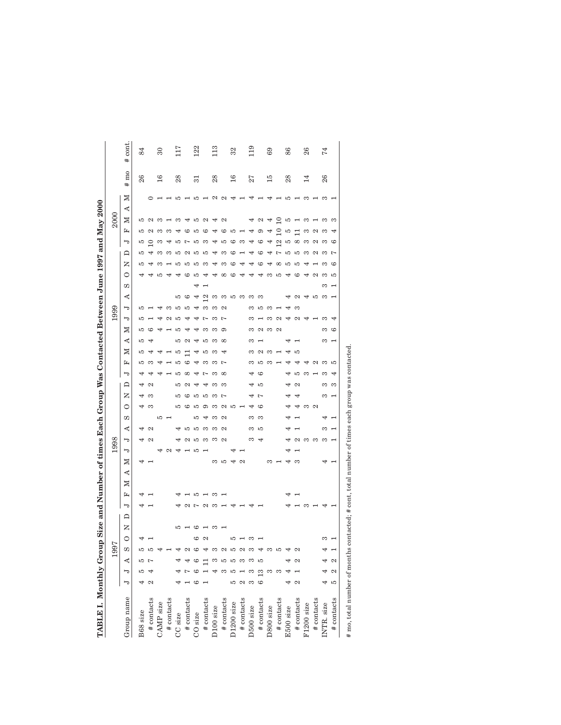| TABLE I. Monthly Grou   |         |   |    |         | $\mathbf{p}$ |    |   |   |    |   |   |   | Size and Number of times Each Group Was Contacted Between June 1997 and May 2000 |                        |                   |                   |                |                   |   |               |    |                          |               |        |           |           |   |          |          |                   |                   |        |        |   |    |                 |            |
|-------------------------|---------|---|----|---------|--------------|----|---|---|----|---|---|---|----------------------------------------------------------------------------------|------------------------|-------------------|-------------------|----------------|-------------------|---|---------------|----|--------------------------|---------------|--------|-----------|-----------|---|----------|----------|-------------------|-------------------|--------|--------|---|----|-----------------|------------|
|                         |         |   |    | 1997    |              |    |   |   |    |   |   |   | 1998                                                                             |                        |                   |                   |                |                   |   |               |    |                          |               |        | 1999      |           |   |          |          |                   |                   |        | 2000   |   |    |                 |            |
| Group name              |         | ⇁ | ₫  | w       | 0            | z  | ≏ | ᢏ | 匞  | ⊠ | ⋖ | ⊠ | ᠆<br>F                                                                           | ⋖                      | S                 | 0                 | z              | ≏                 | ᢏ | 匞             | ⊠  | ⋖                        | ⊠             | F      | ᠆         | ⋖         | S | 0        | z        | ≏                 | ¬                 | 匞      | ⊠      | ⋖ | ×  | $\#$ mo         | cont.<br># |
| B68 size                |         | w | IJ | rc      |              |    |   |   |    |   |   | 4 |                                                                                  | 4<br>4                 |                   | 4                 | 4              | 4                 | 4 | w             | Ğ  | S                        | w             | ω      | w         |           |   |          | Ľ        | w                 | IJ                | S      | S      |   |    | 26              | 84         |
| $\#$ contacts           |         |   |    |         |              |    |   |   |    |   |   |   |                                                                                  | $\mathbf{\Omega}$<br>2 |                   | က                 | œ              | $\sim$            |   |               |    |                          |               |        |           |           |   |          |          |                   | ⊂                 | $\sim$ | $\sim$ |   |    |                 |            |
| CAMP size               |         |   |    |         |              |    |   |   |    |   |   |   |                                                                                  |                        | 5                 |                   |                |                   |   |               |    |                          |               |        |           |           |   | w        |          | ∞                 | ಣ                 | ຕ      | ಣ      |   |    | $\frac{6}{1}$   | $30\,$     |
| $\#$ contacts           |         |   |    |         |              |    |   |   |    |   |   |   | 2                                                                                |                        |                   |                   |                |                   |   |               |    |                          |               | c<br>Л | ∞         |           |   |          |          | ∞                 |                   | ∞      |        |   |    |                 |            |
| CC size                 |         |   |    |         |              | LO |   |   |    |   |   |   |                                                                                  |                        |                   | S                 | S              | S                 | ທ |               | w  | w                        | ທ             | ۱C     | <b>LO</b> | w         |   |          |          | ທ                 | ນດ                |        | ಣ      |   | w  | 28              | 117        |
| $\#$ contacts           |         |   |    |         |              |    |   | 2 |    |   |   |   |                                                                                  | S<br>N                 |                   | G                 | అ              | Z                 |   | ల<br>$\infty$ |    | Z                        |               | ₩      | Ľ         | ဖ         |   | ల        | Ľ        | $\mathbf{\Omega}$ | r                 | ల      | ↤      |   |    |                 |            |
| $CO$ size               |         |   |    | అ       | అ            |    |   | Þ | ۱C |   |   |   | S                                                                                | Ľ                      | ç<br>ıо           | S                 | Ğ              | ↤                 |   | 4             | 4  | ⇥                        | 4             |        |           | ↵         | ↤ | ۱C       | ۱C       | ı.                | rc                | ıо     | P      |   | S  | ದ               | <b>22</b>  |
| $\#$ contacts           |         |   |    |         | 2            |    |   | Z |    |   |   |   |                                                                                  | ಣ<br>ಣ                 | 4                 | ග                 | ıо             |                   | r | ಣ             | ນລ | w                        | ∞             | r      | S         | 2         |   |          |          | ນລ                | ಣ                 | ఴ      | 2      |   |    |                 |            |
| D100 size               |         |   |    | ಣ       |              | S  |   | က | S  |   |   | S |                                                                                  | က<br>S                 | S                 | ಣ                 | S              | S                 |   | ന<br>ന        | ಣ  | က                        | က             | S      | ന         | S         |   |          |          | 4                 | 4                 | ↤      | ⇥      |   | 2  | 28              | 113        |
| $\#$ contacts           |         |   |    |         |              |    |   |   |    |   |   | 5 |                                                                                  | 2<br>2                 | $\mathbf{\Omega}$ | N                 | ⊢              | ಣ                 |   | r<br>$\infty$ |    | $\infty$                 | െ             | ⊢      | $\sim$    | S         |   | $\infty$ |          | ∞                 | ນລ                | అ      | 2      |   | Z  |                 |            |
| D1200 size              | Ğ       |   |    | ຕ ro ci | Ğ            |    |   |   |    |   |   | 4 |                                                                                  |                        |                   | ıо                |                |                   |   |               |    |                          |               |        |           | S         |   | ∞        |          | ∞                 | అ                 | IJ     |        |   | ↤  | $\frac{6}{1}$   | 32         |
| $\#$ contacts           | 2       |   |    |         | ٦<br>۳       |    |   |   |    |   |   | 2 |                                                                                  |                        |                   |                   |                |                   |   |               |    |                          |               |        |           | က         |   |          |          |                   | ಣ                 |        |        |   |    |                 |            |
| D500 size               | S       |   |    | ၵ       | က            |    |   |   |    |   |   |   |                                                                                  | S<br>S                 | က                 | 4                 |                |                   |   | m             | S  | S                        | ಣ             | m      | S         | ಣ         |   |          |          |                   |                   |        | 4      |   |    | 27              | 19         |
| $\#$ contacts           | $\circ$ | ≌ |    | 4       |              |    |   |   |    |   |   |   | ↵                                                                                | ã                      | ಣ                 | ల                 | ⊢              | ç                 |   | ທ<br>ల        |    | $\sim$                   | Z             |        | w         | S         |   |          |          | ≌                 | ≌                 | ౚ      | 2      |   |    |                 |            |
| D800 size               |         | S |    | S       |              |    |   |   |    |   |   | ಣ |                                                                                  |                        |                   |                   |                |                   |   |               | ຕ  |                          | ಣ             |        | ಣ         |           |   | ಣ        |          |                   | 4                 | 4      | 4      |   |    | $\frac{5}{2}$   | 69         |
|                         |         | S |    | IJ      |              |    |   |   |    |   |   |   |                                                                                  |                        |                   |                   |                |                   |   |               |    |                          | $\mathcal{C}$ | J<br>c |           |           |   | w        | $\infty$ | Þ                 | 2                 | S      | 9      |   |    |                 |            |
| $\#$ contacts E500 size |         |   |    |         |              |    |   |   |    |   |   |   |                                                                                  |                        |                   |                   |                |                   |   |               |    |                          |               |        |           |           |   | ⇥        | ۱O       | ıО                | IJ                | ю      | ю      |   | ıо | 28              | 86         |
| $\#$ contacts           | 2       |   |    | N       |              |    |   |   |    |   |   | m |                                                                                  | c                      |                   |                   |                | $\mathbf{\Omega}$ |   | Ľ             | Ľ  |                          |               | 2      | ಣ         | 2         |   | cc       | Ľ        | ıО                | $\infty$          |        |        |   |    |                 |            |
| F1200 size              |         |   |    |         |              |    |   |   |    |   |   |   |                                                                                  | က                      |                   | S                 |                |                   | ಣ |               |    |                          |               | 4      |           | 4         |   | 4        |          | ಣ                 | ಣ                 | ಣ      | က      |   | ∞  | $\overline{14}$ | 26         |
| $\#$ contacts           |         |   |    |         |              |    |   |   |    |   |   |   |                                                                                  | S                      |                   | $\mathbf{\Omega}$ |                |                   |   | $\sim$        |    |                          |               |        |           | <b>LO</b> |   | Z        |          | N                 | $\mathbf{\Omega}$ | Z      |        |   |    |                 |            |
| INTR. size              |         |   |    |         | ಣ            |    |   |   |    |   |   |   |                                                                                  | ∞<br>က                 |                   |                   | S              | S                 |   | ന<br>∞        |    | S                        | S             | ∞      |           | က         | ∞ | ന        | ∞        | ಣ                 | ಣ                 | ಣ      | က      |   | က  | 26              | 74         |
| $\#$ contacts           | ā       | 2 | 2  |         |              |    |   |   |    |   |   |   |                                                                                  | $\blacksquare$         |                   |                   | $\blacksquare$ | S                 | 4 | Ľ             |    | $\overline{\phantom{0}}$ | G             | ᆉ      |           | −         |   | S        | G        | r                 | G                 | 4      | S      |   |    |                 |            |
|                         |         |   |    |         |              |    |   |   |    |   |   |   |                                                                                  |                        |                   |                   |                |                   |   |               |    |                          |               |        |           |           |   |          |          |                   |                   |        |        |   |    |                 |            |

 $\#$  mo, total number of months contacted;  $\#$  cont, total number of times each group was contacted.

# mo, total number of months contacted; # cont, total number of times each group was contacted.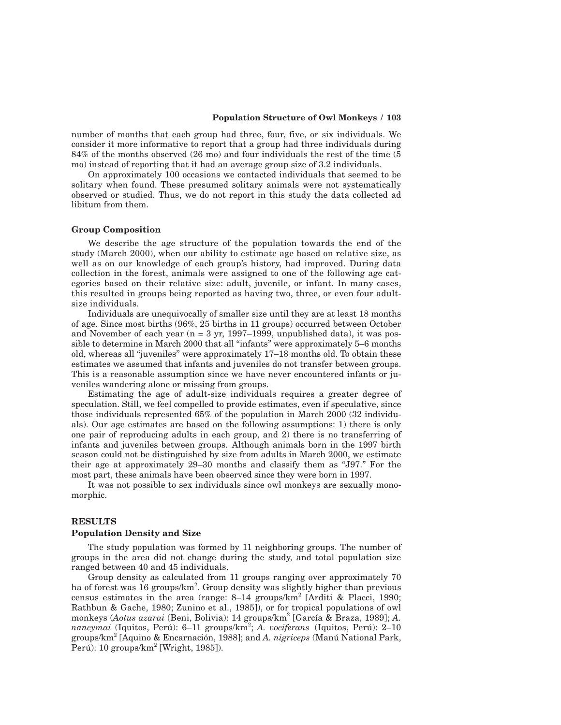number of months that each group had three, four, five, or six individuals. We consider it more informative to report that a group had three individuals during 84% of the months observed (26 mo) and four individuals the rest of the time (5 mo) instead of reporting that it had an average group size of 3.2 individuals.

On approximately 100 occasions we contacted individuals that seemed to be solitary when found. These presumed solitary animals were not systematically observed or studied. Thus, we do not report in this study the data collected ad libitum from them.

# **Group Composition**

We describe the age structure of the population towards the end of the study (March 2000), when our ability to estimate age based on relative size, as well as on our knowledge of each group's history, had improved. During data collection in the forest, animals were assigned to one of the following age categories based on their relative size: adult, juvenile, or infant. In many cases, this resulted in groups being reported as having two, three, or even four adultsize individuals.

Individuals are unequivocally of smaller size until they are at least 18 months of age. Since most births (96%, 25 births in 11 groups) occurred between October and November of each year  $(n = 3$  yr, 1997–1999, unpublished data), it was possible to determine in March 2000 that all "infants" were approximately 5–6 months old, whereas all "juveniles" were approximately 17–18 months old. To obtain these estimates we assumed that infants and juveniles do not transfer between groups. This is a reasonable assumption since we have never encountered infants or juveniles wandering alone or missing from groups.

Estimating the age of adult-size individuals requires a greater degree of speculation. Still, we feel compelled to provide estimates, even if speculative, since those individuals represented 65% of the population in March 2000 (32 individuals). Our age estimates are based on the following assumptions: 1) there is only one pair of reproducing adults in each group, and 2) there is no transferring of infants and juveniles between groups. Although animals born in the 1997 birth season could not be distinguished by size from adults in March 2000, we estimate their age at approximately 29–30 months and classify them as "J97." For the most part, these animals have been observed since they were born in 1997.

It was not possible to sex individuals since owl monkeys are sexually monomorphic.

# **RESULTS**

# **Population Density and Size**

The study population was formed by 11 neighboring groups. The number of groups in the area did not change during the study, and total population size ranged between 40 and 45 individuals.

Group density as calculated from 11 groups ranging over approximately 70 ha of forest was 16 groups/km<sup>2</sup>. Group density was slightly higher than previous census estimates in the area (range: 8-14 groups/km<sup>2</sup> [Arditi & Placci, 1990; Rathbun & Gache, 1980; Zunino et al., 1985]), or for tropical populations of owl monkeys (*Aotus azarai* (Beni, Bolivia): 14 groups/km<sup>2</sup> [García & Braza, 1989]; *A. nancymai* (Iquitos, Perú): 6–11 groups/km<sup>2</sup> ; *A. vociferans* (Iquitos, Perú): 2–10 groups/km2 [Aquino & Encarnación, 1988]; and *A. nigriceps* (Manú National Park, Perú):  $10$  groups/km<sup>2</sup> [Wright, 1985]).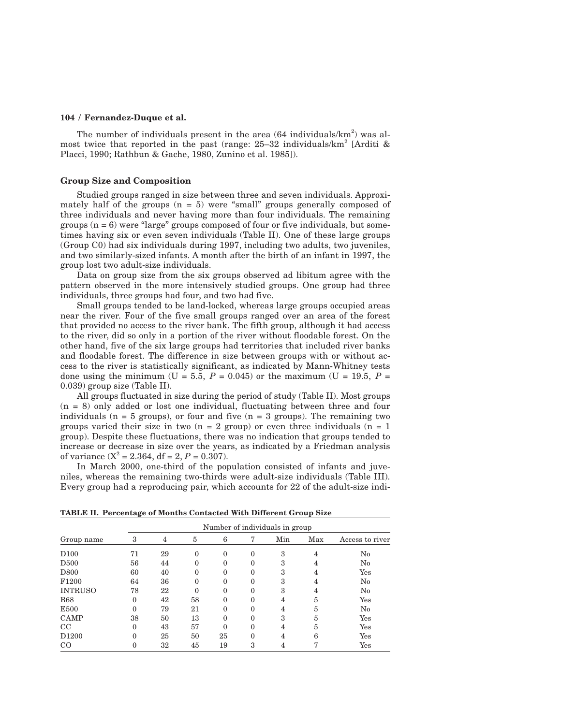The number of individuals present in the area  $(64 \text{ individuals/km}^2)$  was almost twice that reported in the past (range: 25-32 individuals/km<sup>2</sup> [Arditi & Placci, 1990; Rathbun & Gache, 1980, Zunino et al. 1985]).

## **Group Size and Composition**

Studied groups ranged in size between three and seven individuals. Approximately half of the groups  $(n = 5)$  were "small" groups generally composed of three individuals and never having more than four individuals. The remaining groups  $(n = 6)$  were "large" groups composed of four or five individuals, but sometimes having six or even seven individuals (Table II). One of these large groups (Group C0) had six individuals during 1997, including two adults, two juveniles, and two similarly-sized infants. A month after the birth of an infant in 1997, the group lost two adult-size individuals.

Data on group size from the six groups observed ad libitum agree with the pattern observed in the more intensively studied groups. One group had three individuals, three groups had four, and two had five.

Small groups tended to be land-locked, whereas large groups occupied areas near the river. Four of the five small groups ranged over an area of the forest that provided no access to the river bank. The fifth group, although it had access to the river, did so only in a portion of the river without floodable forest. On the other hand, five of the six large groups had territories that included river banks and floodable forest. The difference in size between groups with or without access to the river is statistically significant, as indicated by Mann-Whitney tests done using the minimum (U = 5.5,  $P = 0.045$ ) or the maximum (U = 19.5,  $P =$ 0.039) group size (Table II).

All groups fluctuated in size during the period of study (Table II). Most groups  $(n = 8)$  only added or lost one individual, fluctuating between three and four individuals ( $n = 5$  groups), or four and five ( $n = 3$  groups). The remaining two groups varied their size in two  $(n = 2 \text{ group})$  or even three individuals  $(n = 1$ group). Despite these fluctuations, there was no indication that groups tended to increase or decrease in size over the years, as indicated by a Friedman analysis of variance  $(X^2 = 2.364, df = 2, P = 0.307)$ .

In March 2000, one-third of the population consisted of infants and juveniles, whereas the remaining two-thirds were adult-size individuals (Table III). Every group had a reproducing pair, which accounts for 22 of the adult-size indi-

|                  |          |    |          |          |          | Number of individuals in group |     |                      |
|------------------|----------|----|----------|----------|----------|--------------------------------|-----|----------------------|
| Group name       | 3        | 4  | 5        | 6        | 7        | Min                            | Max | Access to river      |
| D <sub>100</sub> | 71       | 29 | $\Omega$ | $\Omega$ | $\Omega$ | 3                              | 4   | $\rm No$             |
| D <sub>500</sub> | 56       | 44 | 0        | $\Omega$ | $\Omega$ | 3                              | 4   | $\rm No$             |
| D800             | 60       | 40 | 0        | $\Omega$ | $\theta$ | 3                              | 4   | Yes                  |
| F1200            | 64       | 36 | 0        | $\Omega$ | $\Omega$ | 3                              | 4   | $\rm No$             |
| <b>INTRUSO</b>   | 78       | 22 | 0        | $\Omega$ | $\Omega$ | 3                              | 4   | $\rm No$             |
| <b>B68</b>       | 0        | 42 | 58       | $\Omega$ | $\theta$ | 4                              | 5   | Yes                  |
| E500             | $\Omega$ | 79 | 21       | $\Omega$ | $\Omega$ | 4                              | 5   | $\rm No$             |
| CAMP             | 38       | 50 | 13       | $\Omega$ | $\Omega$ | 3                              | 5   | Yes                  |
| $_{\rm CC}$      | $\Omega$ | 43 | 57       | $\Omega$ | $\theta$ | 4                              | 5   | $\operatorname{Yes}$ |
| D1200            | $\Omega$ | 25 | 50       | 25       | $\Omega$ | 4                              | 6   | $\operatorname{Yes}$ |
| $_{\rm CO}$      |          | 32 | 45       | 19       | 3        |                                | ,   | $\operatorname{Yes}$ |

**TABLE II. Percentage of Months Contacted With Different Group Size**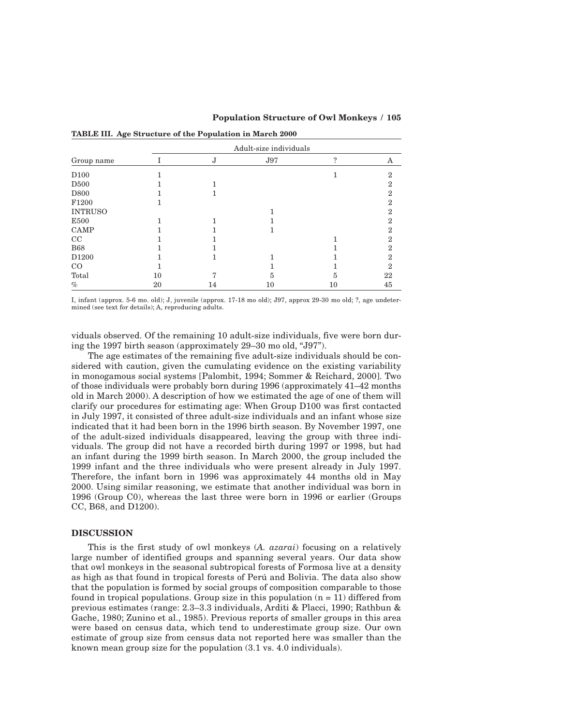|                  |    |    | Adult-size individuals |    |                             |
|------------------|----|----|------------------------|----|-----------------------------|
| Group name       |    | J  | J97                    | ?  | A                           |
| D <sub>100</sub> |    |    |                        |    | $\mathcal{D}_{1}$           |
| D <sub>500</sub> |    |    |                        |    | 2                           |
| D800             |    |    |                        |    | 2                           |
| F1200            |    |    |                        |    | 2                           |
| <b>INTRUSO</b>   |    |    |                        |    | 2                           |
| E500             |    |    |                        |    | 2                           |
| CAMP             |    |    |                        |    | 2                           |
| CC               |    |    |                        |    | 2                           |
| <b>B68</b>       |    |    |                        |    | 2                           |
| D1200            |    |    |                        |    | 2                           |
| CO               |    |    |                        |    | $\mathcal{D}_{\mathcal{L}}$ |
| Total            | 10 |    | 5                      | 5  | 22                          |
| $\%$             | 20 | 14 | 10                     | 10 | 45                          |

**TABLE III. Age Structure of the Population in March 2000**

I, infant (approx. 5-6 mo. old); J, juvenile (approx. 17-18 mo old); J97, approx 29-30 mo old; ?, age undetermined (see text for details); A, reproducing adults.

viduals observed. Of the remaining 10 adult-size individuals, five were born during the 1997 birth season (approximately 29–30 mo old, "J97").

The age estimates of the remaining five adult-size individuals should be considered with caution, given the cumulating evidence on the existing variability in monogamous social systems [Palombit, 1994; Sommer & Reichard, 2000]. Two of those individuals were probably born during 1996 (approximately 41–42 months old in March 2000). A description of how we estimated the age of one of them will clarify our procedures for estimating age: When Group D100 was first contacted in July 1997, it consisted of three adult-size individuals and an infant whose size indicated that it had been born in the 1996 birth season. By November 1997, one of the adult-sized individuals disappeared, leaving the group with three individuals. The group did not have a recorded birth during 1997 or 1998, but had an infant during the 1999 birth season. In March 2000, the group included the 1999 infant and the three individuals who were present already in July 1997. Therefore, the infant born in 1996 was approximately 44 months old in May 2000. Using similar reasoning, we estimate that another individual was born in 1996 (Group C0), whereas the last three were born in 1996 or earlier (Groups CC, B68, and D1200).

#### **DISCUSSION**

This is the first study of owl monkeys (*A. azarai*) focusing on a relatively large number of identified groups and spanning several years. Our data show that owl monkeys in the seasonal subtropical forests of Formosa live at a density as high as that found in tropical forests of Perú and Bolivia. The data also show that the population is formed by social groups of composition comparable to those found in tropical populations. Group size in this population  $(n = 11)$  differed from previous estimates (range: 2.3–3.3 individuals, Arditi & Placci, 1990; Rathbun & Gache, 1980; Zunino et al., 1985). Previous reports of smaller groups in this area were based on census data, which tend to underestimate group size. Our own estimate of group size from census data not reported here was smaller than the known mean group size for the population (3.1 vs. 4.0 individuals).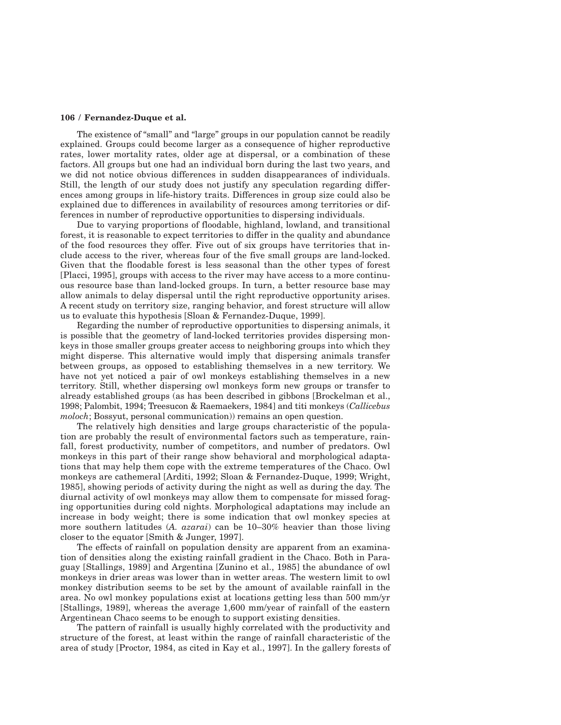The existence of "small" and "large" groups in our population cannot be readily explained. Groups could become larger as a consequence of higher reproductive rates, lower mortality rates, older age at dispersal, or a combination of these factors. All groups but one had an individual born during the last two years, and we did not notice obvious differences in sudden disappearances of individuals. Still, the length of our study does not justify any speculation regarding differences among groups in life-history traits. Differences in group size could also be explained due to differences in availability of resources among territories or differences in number of reproductive opportunities to dispersing individuals.

Due to varying proportions of floodable, highland, lowland, and transitional forest, it is reasonable to expect territories to differ in the quality and abundance of the food resources they offer. Five out of six groups have territories that include access to the river, whereas four of the five small groups are land-locked. Given that the floodable forest is less seasonal than the other types of forest [Placci, 1995], groups with access to the river may have access to a more continuous resource base than land-locked groups. In turn, a better resource base may allow animals to delay dispersal until the right reproductive opportunity arises. A recent study on territory size, ranging behavior, and forest structure will allow us to evaluate this hypothesis [Sloan & Fernandez-Duque, 1999].

Regarding the number of reproductive opportunities to dispersing animals, it is possible that the geometry of land-locked territories provides dispersing monkeys in those smaller groups greater access to neighboring groups into which they might disperse. This alternative would imply that dispersing animals transfer between groups, as opposed to establishing themselves in a new territory. We have not yet noticed a pair of owl monkeys establishing themselves in a new territory. Still, whether dispersing owl monkeys form new groups or transfer to already established groups (as has been described in gibbons [Brockelman et al., 1998; Palombit, 1994; Treesucon & Raemaekers, 1984] and titi monkeys (*Callicebus moloch*; Bossyut, personal communication)) remains an open question.

The relatively high densities and large groups characteristic of the population are probably the result of environmental factors such as temperature, rainfall, forest productivity, number of competitors, and number of predators. Owl monkeys in this part of their range show behavioral and morphological adaptations that may help them cope with the extreme temperatures of the Chaco. Owl monkeys are cathemeral [Arditi, 1992; Sloan & Fernandez-Duque, 1999; Wright, 1985], showing periods of activity during the night as well as during the day. The diurnal activity of owl monkeys may allow them to compensate for missed foraging opportunities during cold nights. Morphological adaptations may include an increase in body weight; there is some indication that owl monkey species at more southern latitudes (*A. azarai*) can be 10–30% heavier than those living closer to the equator [Smith & Junger, 1997].

The effects of rainfall on population density are apparent from an examination of densities along the existing rainfall gradient in the Chaco. Both in Paraguay [Stallings, 1989] and Argentina [Zunino et al., 1985] the abundance of owl monkeys in drier areas was lower than in wetter areas. The western limit to owl monkey distribution seems to be set by the amount of available rainfall in the area. No owl monkey populations exist at locations getting less than 500 mm/yr [Stallings, 1989], whereas the average 1,600 mm/year of rainfall of the eastern Argentinean Chaco seems to be enough to support existing densities.

The pattern of rainfall is usually highly correlated with the productivity and structure of the forest, at least within the range of rainfall characteristic of the area of study [Proctor, 1984, as cited in Kay et al., 1997]. In the gallery forests of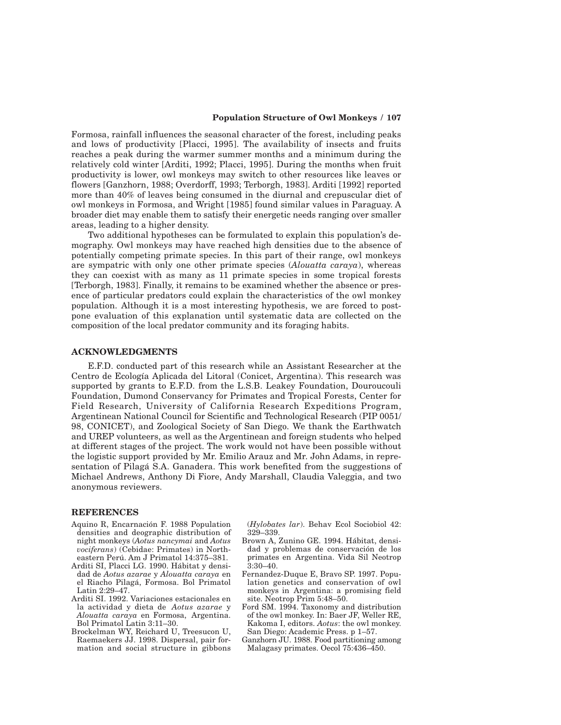Formosa, rainfall influences the seasonal character of the forest, including peaks and lows of productivity [Placci, 1995]. The availability of insects and fruits reaches a peak during the warmer summer months and a minimum during the relatively cold winter [Arditi, 1992; Placci, 1995]. During the months when fruit productivity is lower, owl monkeys may switch to other resources like leaves or flowers [Ganzhorn, 1988; Overdorff, 1993; Terborgh, 1983]. Arditi [1992] reported more than 40% of leaves being consumed in the diurnal and crepuscular diet of owl monkeys in Formosa, and Wright [1985] found similar values in Paraguay. A broader diet may enable them to satisfy their energetic needs ranging over smaller areas, leading to a higher density.

Two additional hypotheses can be formulated to explain this population's demography. Owl monkeys may have reached high densities due to the absence of potentially competing primate species. In this part of their range, owl monkeys are sympatric with only one other primate species (*Alouatta caraya*), whereas they can coexist with as many as 11 primate species in some tropical forests [Terborgh, 1983]. Finally, it remains to be examined whether the absence or presence of particular predators could explain the characteristics of the owl monkey population. Although it is a most interesting hypothesis, we are forced to postpone evaluation of this explanation until systematic data are collected on the composition of the local predator community and its foraging habits.

#### **ACKNOWLEDGMENTS**

E.F.D. conducted part of this research while an Assistant Researcher at the Centro de Ecología Aplicada del Litoral (Conicet, Argentina). This research was supported by grants to E.F.D. from the L.S.B. Leakey Foundation, Douroucouli Foundation, Dumond Conservancy for Primates and Tropical Forests, Center for Field Research, University of California Research Expeditions Program, Argentinean National Council for Scientific and Technological Research (PIP 0051/ 98, CONICET), and Zoological Society of San Diego. We thank the Earthwatch and UREP volunteers, as well as the Argentinean and foreign students who helped at different stages of the project. The work would not have been possible without the logistic support provided by Mr. Emilio Arauz and Mr. John Adams, in representation of Pilagá S.A. Ganadera. This work benefited from the suggestions of Michael Andrews, Anthony Di Fiore, Andy Marshall, Claudia Valeggia, and two anonymous reviewers.

#### **REFERENCES**

- Aquino R, Encarnación F. 1988 Population densities and deographic distribution of night monkeys (*Aotus nancymai* and *Aotus vociferans*) (Cebidae: Primates) in Northeastern Perú. Am J Primatol 14:375–381.
- Arditi SI, Placci LG. 1990. Hábitat y densidad de *Aotus azarae* y *Alouatta caraya* en el Riacho Pilagá, Formosa. Bol Primatol Latin 2:29–47.
- Arditi SI. 1992. Variaciones estacionales en la actividad y dieta de *Aotus azarae* y *Alouatta caraya* en Formosa, Argentina. Bol Primatol Latin 3:11–30.
- Brockelman WY, Reichard U, Treesucon U, Raemaekers JJ. 1998. Dispersal, pair formation and social structure in gibbons

(*Hylobates lar*). Behav Ecol Sociobiol 42: 329–339.

- Brown A, Zunino GE. 1994. Hábitat, densidad y problemas de conservación de los primates en Argentina. Vida Sil Neotrop  $3:30-40.$
- Fernandez-Duque E, Bravo SP. 1997. Population genetics and conservation of owl monkeys in Argentina: a promising field site. Neotrop Prim 5:48–50.
- Ford SM. 1994. Taxonomy and distribution of the owl monkey. In: Baer JF, Weller RE, Kakoma I, editors. *Aotus*: the owl monkey. San Diego: Academic Press. p 1–57.
- Ganzhorn JU. 1988. Food partitioning among Malagasy primates. Oecol 75:436–450.